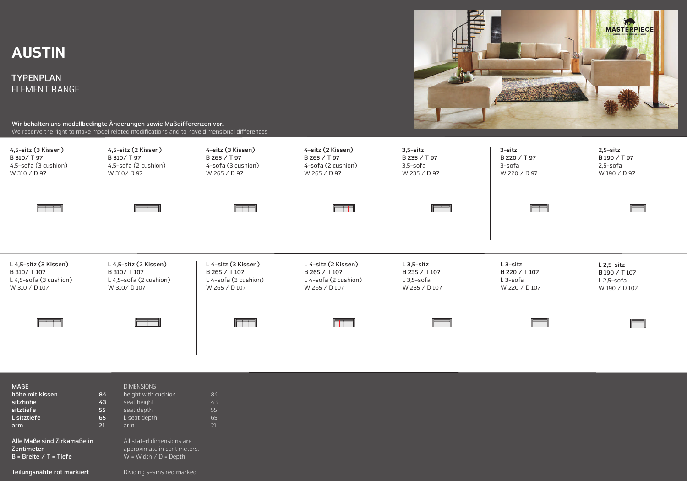## AUSTIN

**TYPENPLAN**  ELEMENT RANGE



**Wir behalten uns modellbedingte Änderungen sowie Maßdifferenzen vor.**  We reserve the right to make model related modifications and to have dimensional differences.



| <b>MABE</b><br>höhe mit kissen<br>sitzhöhe<br>sitztiefe<br>L sitztiefe<br>arm | 84<br>43<br>55<br>65<br>21 | <b>DIMENSIONS</b><br>height with cushion<br>seat height<br>seat depth<br>L seat depth<br>arm | 84<br>43<br>55<br>65<br>21 |
|-------------------------------------------------------------------------------|----------------------------|----------------------------------------------------------------------------------------------|----------------------------|
| Alle Maße sind Zirkamaße in<br><b>Zentimeter</b><br>$B = Breite / T = Tiefe$  |                            | All stated dimensions are<br>approximate in centimeters.<br>$W = Width / D = Depth$          |                            |

**Teilungsnähte rot markiert** Dividing seams red marked